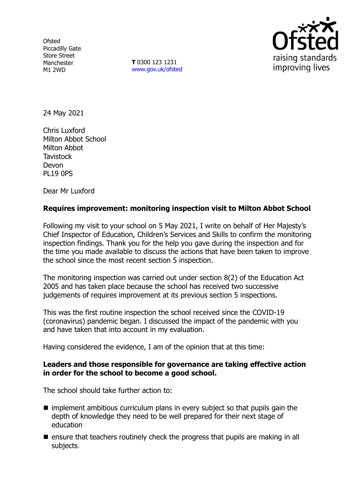**Ofsted** Piccadilly Gate Store Street Manchester M1 2WD

**T** 0300 123 1231 [www.gov.uk/ofsted](http://www.gov.uk/ofsted)



24 May 2021

Chris Luxford Milton Abbot School Milton Abbot **Tavistock** Devon PL19 0PS

Dear Mr Luxford

## **Requires improvement: monitoring inspection visit to Milton Abbot School**

Following my visit to your school on 5 May 2021, I write on behalf of Her Majesty's Chief Inspector of Education, Children's Services and Skills to confirm the monitoring inspection findings. Thank you for the help you gave during the inspection and for the time you made available to discuss the actions that have been taken to improve the school since the most recent section 5 inspection.

The monitoring inspection was carried out under section 8(2) of the Education Act 2005 and has taken place because the school has received two successive judgements of requires improvement at its previous section 5 inspections.

This was the first routine inspection the school received since the COVID-19 (coronavirus) pandemic began. I discussed the impact of the pandemic with you and have taken that into account in my evaluation.

Having considered the evidence, I am of the opinion that at this time:

### **Leaders and those responsible for governance are taking effective action in order for the school to become a good school.**

The school should take further action to:

- $\blacksquare$  implement ambitious curriculum plans in every subject so that pupils gain the depth of knowledge they need to be well prepared for their next stage of education
- $\blacksquare$  ensure that teachers routinely check the progress that pupils are making in all subjects.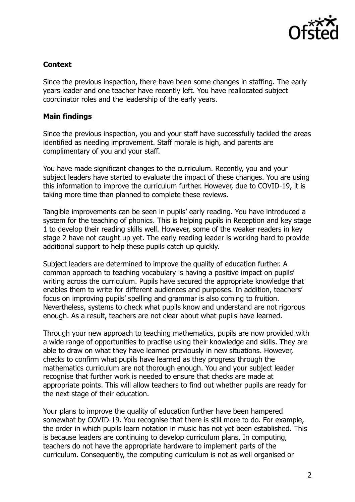

# **Context**

Since the previous inspection, there have been some changes in staffing. The early years leader and one teacher have recently left. You have reallocated subject coordinator roles and the leadership of the early years.

# **Main findings**

Since the previous inspection, you and your staff have successfully tackled the areas identified as needing improvement. Staff morale is high, and parents are complimentary of you and your staff.

You have made significant changes to the curriculum. Recently, you and your subject leaders have started to evaluate the impact of these changes. You are using this information to improve the curriculum further. However, due to COVID-19, it is taking more time than planned to complete these reviews.

Tangible improvements can be seen in pupils' early reading. You have introduced a system for the teaching of phonics. This is helping pupils in Reception and key stage 1 to develop their reading skills well. However, some of the weaker readers in key stage 2 have not caught up yet. The early reading leader is working hard to provide additional support to help these pupils catch up quickly.

Subject leaders are determined to improve the quality of education further. A common approach to teaching vocabulary is having a positive impact on pupils' writing across the curriculum. Pupils have secured the appropriate knowledge that enables them to write for different audiences and purposes. In addition, teachers' focus on improving pupils' spelling and grammar is also coming to fruition. Nevertheless, systems to check what pupils know and understand are not rigorous enough. As a result, teachers are not clear about what pupils have learned.

Through your new approach to teaching mathematics, pupils are now provided with a wide range of opportunities to practise using their knowledge and skills. They are able to draw on what they have learned previously in new situations. However, checks to confirm what pupils have learned as they progress through the mathematics curriculum are not thorough enough. You and your subject leader recognise that further work is needed to ensure that checks are made at appropriate points. This will allow teachers to find out whether pupils are ready for the next stage of their education.

Your plans to improve the quality of education further have been hampered somewhat by COVID-19. You recognise that there is still more to do. For example, the order in which pupils learn notation in music has not yet been established. This is because leaders are continuing to develop curriculum plans. In computing, teachers do not have the appropriate hardware to implement parts of the curriculum. Consequently, the computing curriculum is not as well organised or